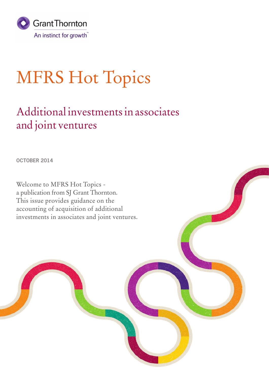

# MFRS Hot Topics

### Additional investments in associates and joint ventures

**OCTOBER 2014**

Welcome to MFRS Hot Topics a publication from SJ Grant Thornton. This issue provides guidance on the accounting of acquisition of additional investments in associates and joint ventures.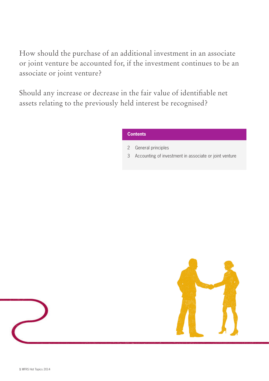How should the purchase of an additional investment in an associate or joint venture be accounted for, if the investment continues to be an associate or joint venture?

Should any increase or decrease in the fair value of identifiable net assets relating to the previously held interest be recognised?

#### **Contents**

- 2 General principles
- 3 Accounting of investment in associate or joint venture

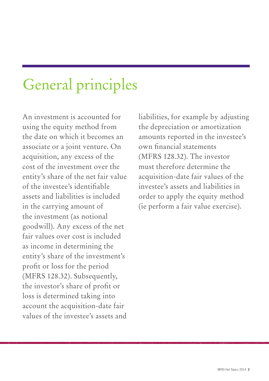## General principles

An investment is accounted for using the equity method from the date on which it becomes an associate or a joint venture. On acquisition, any excess of the cost of the investment over the entity's share of the net fair value of the investee's identifiable assets and liabilities is included in the carrying amount of the investment (as notional goodwill). Any excess of the net fair values over cost is included as income in determining the entity's share of the investment's profit or loss for the period (MFRS 128.32). Subsequently, the investor's share of profit or loss is determined taking into account the acquisition-date fair values of the investee's assets and liabilities, for example by adjusting the depreciation or amortization amounts reported in the investee's own financial statements (MFRS 128.32). The investor must therefore determine the acquisition-date fair values of the investee's assets and liabilities in order to apply the equity method (ie perform a fair value exercise).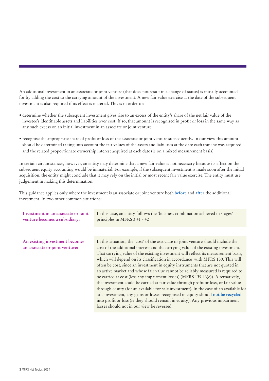An additional investment in an associate or joint venture (that does not result in a change of status) is initially accounted for by adding the cost to the carrying amount of the investment. A new fair value exercise at the date of the subsequent investment is also required if its effect is material. This is in order to:

- determine whether the subsequent investment gives rise to an excess of the entity's share of the net fair value of the investee's identifiable assets and liabilities over cost. If so, that amount is recognised in profit or loss in the same way as any such excess on an initial investment in an associate or joint venture,
- recognise the appropriate share of profit or loss of the associate or joint venture subsequently. In our view this amount should be determined taking into account the fair values of the assets and liabilities at the date each tranche was acquired, and the related proportionate ownership interest acquired at each date (ie on a mixed measurement basis).

In certain circumstances, however, an entity may determine that a new fair value is not necessary because its effect on the subsequent equity accounting would be immaterial. For example, if the subsequent investment is made soon after the initial acquisition, the entity might conclude that it may rely on the initial or most recent fair value exercise. The entity must use judgement in making this determination.

This guidance applies only where the investment is an associate or joint venture both **before** and **after** the additional investment. In two other common situations:

| Investment in an associate or joint<br>venture becomes a subsidiary: | In this case, an entity follows the 'business combination achieved in stages'<br>principles in MFRS 3.41 - 42                                                                                                                                                                                                                                                                                                                                                                                                                                                                                                                                                                                                                                                                                                                                                                                                                                                                                                    |
|----------------------------------------------------------------------|------------------------------------------------------------------------------------------------------------------------------------------------------------------------------------------------------------------------------------------------------------------------------------------------------------------------------------------------------------------------------------------------------------------------------------------------------------------------------------------------------------------------------------------------------------------------------------------------------------------------------------------------------------------------------------------------------------------------------------------------------------------------------------------------------------------------------------------------------------------------------------------------------------------------------------------------------------------------------------------------------------------|
|                                                                      |                                                                                                                                                                                                                                                                                                                                                                                                                                                                                                                                                                                                                                                                                                                                                                                                                                                                                                                                                                                                                  |
| An existing investment becomes<br>an associate or joint venture:     | In this situation, the 'cost' of the associate or joint venture should include the<br>cost of the additional interest and the carrying value of the existing investment.<br>That carrying value of the existing investment will reflect its measurement basis,<br>which will depend on its classification in accordance with MFRS 139. This will<br>often be cost, since an investment in equity instruments that are not quoted in<br>an active market and whose fair value cannot be reliably measured is required to<br>be carried at cost (less any impairment losses) (MFRS 139.46(c)). Alternatively,<br>the investment could be carried at fair value through profit or loss, or fair value<br>through equity (for an available for sale investment). In the case of an available for<br>sale investment, any gains or losses recognised in equity should not be recycled<br>into profit or loss (ie they should remain in equity). Any previous impairment<br>losses should not in our view be reversed. |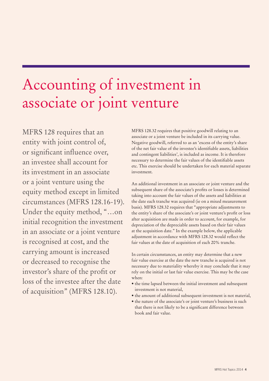### Accounting of investment in associate or joint venture

MFRS 128 requires that an entity with joint control of, or significant influence over, an investee shall account for its investment in an associate or a joint venture using the equity method except in limited circumstances (MFRS 128.16-19). Under the equity method, "…on initial recognition the investment in an associate or a joint venture is recognised at cost, and the carrying amount is increased or decreased to recognise the investor's share of the profit or loss of the investee after the date of acquisition" (MFRS 128.10).

MFRS 128.32 requires that positive goodwill relating to an associate or a joint venture be included in its carrying value. Negative goodwill, referred to as an 'excess of the entity's share of the net fair value of the investee's identifiable assets, liabilities and contingent liabilities', is included as income. It is therefore necessary to determine the fair values of the identifiable assets etc. This exercise should be undertaken for each material separate investment.

An additional investment in an associate or joint venture and the subsequent share of the associate's profits or losses is determined taking into account the fair values of the assets and liabilities at the date each tranche was acquired (ie on a mixed measurement basis). MFRS 128.32 requires that "appropriate adjustments to the entity's share of the associate's or joint venture's profit or loss after acquisition are made in order to account, for example, for depreciation of the depreciable assets based on their fair values at the acquisition date." In the example below, the applicable adjustment in accordance with MFRS 128.32 would reflect the fair values at the date of acquisition of each 20% tranche.

In certain circumstances, an entity may determine that a new fair value exercise at the date the new tranche is acquired is not necessary due to materiality whereby it may conclude that it may rely on the initial or last fair value exercise. This may be the case when:

- the time lapsed between the initial investment and subsequent investment is not material,
- the amount of additional subsequent investment is not material,
- the nature of the associate's or joint venture's business is such that there is not likely to be a significant difference between book and fair value.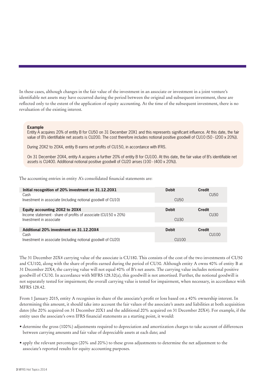In these cases, although changes in the fair value of the investment in an associate or investment in a joint venture's identifiable net assets may have occurred during the period between the original and subsequent investment, these are reflected only to the extent of the application of equity accounting. At the time of the subsequent investment, there is no revaluation of the existing interest.

#### **Example**

Entity A acquires 20% of entity B for CU50 on 31 December 20X1 and this represents significant influence. At this date, the fair value of B's identifiable net assets is CU200. The cost therefore includes notional positive goodwill of CU10 (50 - (200 x 20%)).

During 20X2 to 20X4, entity B earns net profits of CU150, in accordance with IFRS.

On 31 December 20X4, entity A acquires a further 20% of entity B for CU100. At this date, the fair value of B's identifiable net assets is CU400. Additional notional positive goodwill of CU20 arises (100 - (400 x 20%)).

The accounting entries in entity A's consolidated financial statements are:

| Initial recognition of 20% investment on 31.12.20X1            | <b>Debit</b>     | <b>Credit</b>    |
|----------------------------------------------------------------|------------------|------------------|
| Cash                                                           |                  | CU <sub>50</sub> |
| Investment in associate (including notional goodwill of CU10)  | CU <sub>50</sub> |                  |
|                                                                |                  |                  |
| Equity accounting 20X2 to 20X4                                 | <b>Debit</b>     | <b>Credit</b>    |
| Income statement - share of profits of associate (CU150 x 20%) |                  | CU <sub>30</sub> |
| Investment in associate                                        | CU <sub>30</sub> |                  |
|                                                                |                  |                  |
| Additional 20% investment on 31.12.20X4                        | <b>Debit</b>     | <b>Credit</b>    |
| Cash                                                           |                  | CU100            |
| Investment in associate (including notional goodwill of CU20)  | <b>CU100</b>     |                  |

The 31 December 20X4 carrying value of the associate is CU180. This consists of the cost of the two investments of CU50 and CU100, along with the share of profits earned during the period of CU30. Although entity A owns 40% of entity B at 31 December 20X4, the carrying value will not equal 40% of B's net assets. The carrying value includes notional positive goodwill of CU30. In accordance with MFRS 128.32(a), this goodwill is not amortised. Further, the notional goodwill is not separately tested for impairment; the overall carrying value is tested for impairment, when necessary, in accordance with MFRS 128.42.

From 1 January 2015, entity A recognises its share of the associate's profit or loss based on a 40% ownership interest. In determining this amount, it should take into account the fair values of the associate's assets and liabilities at both acquisition dates (the 20% acquired on 31 December 20X1 and the additional 20% acquired on 31 December 20X4). For example, if the entity uses the associate's own IFRS financial statements as a starting point, it would:

- determine the gross (100%) adjustments required to depreciation and amortization charges to take account of differences between carrying amounts and fair value of depreciable assets at each date; and
- apply the relevant percentages (20% and 20%) to these gross adjustments to determine the net adjustment to the associate's reported results for equity accounting purposes.